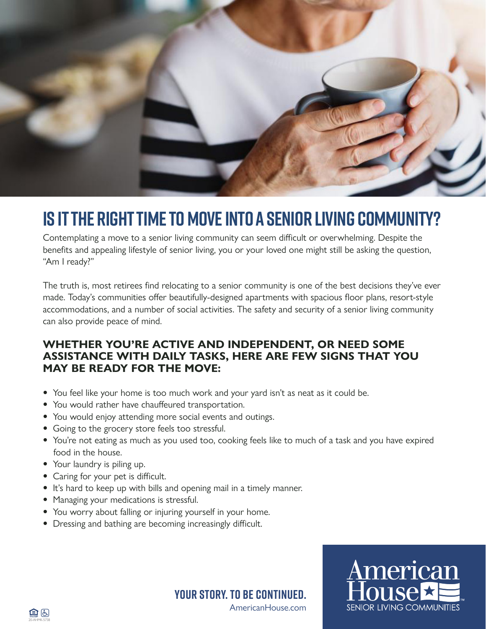

# **IS IT THE RIGHT TIME TO MOVE INTO A SENIOR LIVING COMMUNITY?**

Contemplating a move to a senior living community can seem difficult or overwhelming. Despite the benefits and appealing lifestyle of senior living, you or your loved one might still be asking the question, "Am I ready?"

The truth is, most retirees find relocating to a senior community is one of the best decisions they've ever made. Today's communities offer beautifully-designed apartments with spacious floor plans, resort-style accommodations, and a number of social activities. The safety and security of a senior living community can also provide peace of mind.

#### **WHETHER YOU'RE ACTIVE AND INDEPENDENT, OR NEED SOME ASSISTANCE WITH DAILY TASKS, HERE ARE FEW SIGNS THAT YOU MAY BE READY FOR THE MOVE:**

- You feel like your home is too much work and your yard isn't as neat as it could be.
- You would rather have chauffeured transportation.
- You would enjoy attending more social events and outings.
- Going to the grocery store feels too stressful.
- You're not eating as much as you used too, cooking feels like to much of a task and you have expired food in the house.
- Your laundry is piling up.
- Caring for your pet is difficult.
- It's hard to keep up with bills and opening mail in a timely manner.
- Managing your medications is stressful.
- You worry about falling or injuring yourself in your home.
- Dressing and bathing are becoming increasingly difficult.

merican **SENIOR LIVING COMMUNITIES** 



AmericanHouse.com

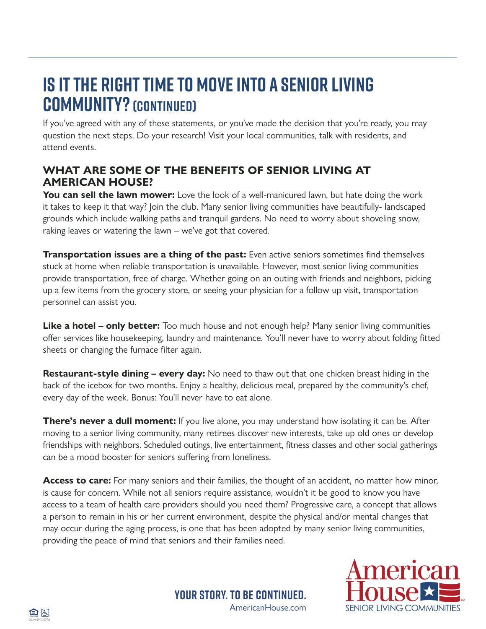## **IS IT THE RIGHT TIME TO MOVE INTO A SENIOR LIVING COMMUNITY?(Continued)**

If you've agreed with any of these statements, or you've made the decision that you're ready, you may question the next steps. Do your research! Visit your local communities, talk with residents, and attend events.

#### **WHAT ARE SOME OF THE BENEFITS OF SENIOR LIVING AT AMERICAN HOUSE?**

You can sell the lawn mower: Love the look of a well-manicured lawn, but hate doing the work it takes to keep it that way? Join the club. Many senior living communities have beautifully- landscaped grounds which include walking paths and tranquil gardens. No need to worry about shoveling snow, raking leaves or watering the lawn – we've got that covered.

**Transportation issues are a thing of the past:** Even active seniors sometimes find themselves stuck at home when reliable transportation is unavailable. However, most senior living communities provide transportation, free of charge. Whether going on an outing with friends and neighbors, picking up a few items from the grocery store, or seeing your physician for a follow up visit, transportation personnel can assist you.

**Like a hotel – only better:** Too much house and not enough help? Many senior living communities offer services like housekeeping, laundry and maintenance. You'll never have to worry about folding fitted sheets or changing the furnace filter again.

**Restaurant-style dining – every day:** No need to thaw out that one chicken breast hiding in the back of the icebox for two months. Enjoy a healthy, delicious meal, prepared by the community's chef, every day of the week. Bonus: You'll never have to eat alone.

**There's never a dull moment:** If you live alone, you may understand how isolating it can be. After moving to a senior living community, many retirees discover new interests, take up old ones or develop friendships with neighbors. Scheduled outings, live entertainment, fitness classes and other social gatherings can be a mood booster for seniors suffering from loneliness.

Access to care: For many seniors and their families, the thought of an accident, no matter how minor, is cause for concern. While not all seniors require assistance, wouldn't it be good to know you have access to a team of health care providers should you need them? Progressive care, a concept that allows a person to remain in his or her current environment, despite the physical and/or mental changes that may occur during the aging process, is one that has been adopted by many senior living communities, providing the peace of mind that seniors and their families need.

> AmericanHouse.com **Your story. To be continued.**